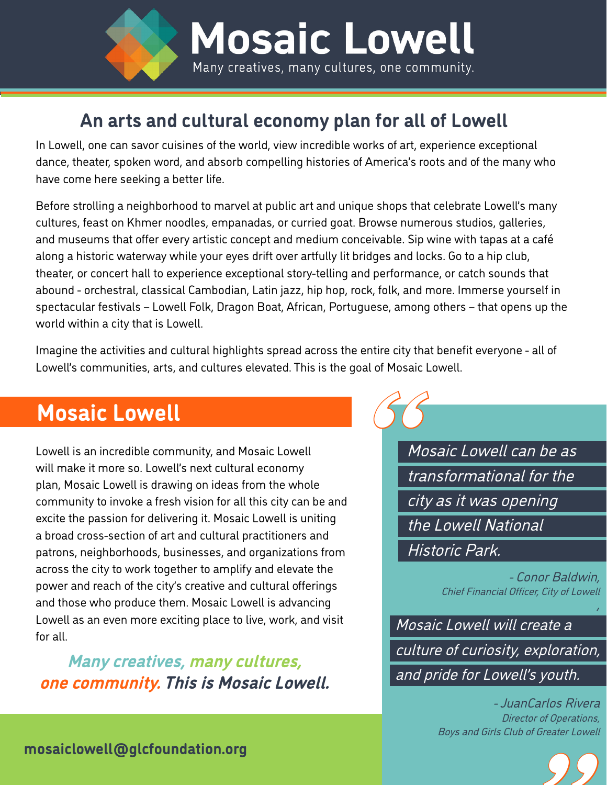

### **An arts and cultural economy plan for all of Lowell**

In Lowell, one can savor cuisines of the world, view incredible works of art, experience exceptional dance, theater, spoken word, and absorb compelling histories of America's roots and of the many who have come here seeking a better life.

Before strolling a neighborhood to marvel at public art and unique shops that celebrate Lowell's many cultures, feast on Khmer noodles, empanadas, or curried goat. Browse numerous studios, galleries, and museums that offer every artistic concept and medium conceivable. Sip wine with tapas at a café along a historic waterway while your eyes drift over artfully lit bridges and locks. Go to a hip club, theater, or concert hall to experience exceptional story-telling and performance, or catch sounds that abound - orchestral, classical Cambodian, Latin jazz, hip hop, rock, folk, and more. Immerse yourself in spectacular festivals – Lowell Folk, Dragon Boat, African, Portuguese, among others – that opens up the world within a city that is Lowell.

Imagine the activities and cultural highlights spread across the entire city that benefit everyone - all of Lowell's communities, arts, and cultures elevated. This is the goal of Mosaic Lowell.

# **Mosaic Lowell**

Lowell is an incredible community, and Mosaic Lowell will make it more so. Lowell's next cultural economy plan, Mosaic Lowell is drawing on ideas from the whole community to invoke a fresh vision for all this city can be and excite the passion for delivering it. Mosaic Lowell is uniting a broad cross-section of art and cultural practitioners and patrons, neighborhoods, businesses, and organizations from across the city to work together to amplify and elevate the power and reach of the city's creative and cultural offerings and those who produce them. Mosaic Lowell is advancing Lowell as an even more exciting place to live, work, and visit for all.

**Many creatives, many cultures, one community. This is Mosaic Lowell.** 

Mosaic Lowell can be as transformational for the city as it was opening the Lowell National Historic Park.

66

- Conor Baldwin, Chief Financial Officer, City of Lowell

,

Mosaic Lowell will create a culture of curiosity, exploration, and pride for Lowell's youth.

> - JuanCarlos Rivera Director of Operations, Boys and Girls Club of Greater Lowell

 **[mosaiclowell@glcfoundation.org](http://mosaiclowell@glcfoundation.org)** "